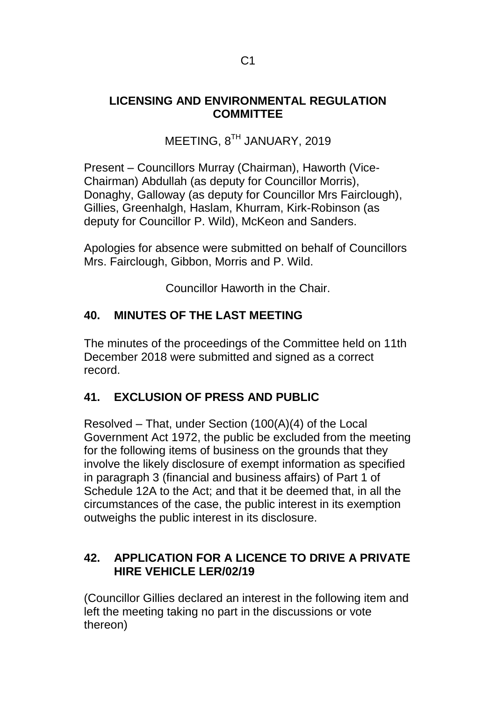## **LICENSING AND ENVIRONMENTAL REGULATION COMMITTEE**

MEETING, 8<sup>TH</sup> JANUARY, 2019

Present – Councillors Murray (Chairman), Haworth (Vice-Chairman) Abdullah (as deputy for Councillor Morris), Donaghy, Galloway (as deputy for Councillor Mrs Fairclough), Gillies, Greenhalgh, Haslam, Khurram, Kirk-Robinson (as deputy for Councillor P. Wild), McKeon and Sanders.

Apologies for absence were submitted on behalf of Councillors Mrs. Fairclough, Gibbon, Morris and P. Wild.

Councillor Haworth in the Chair.

# **40. MINUTES OF THE LAST MEETING**

The minutes of the proceedings of the Committee held on 11th December 2018 were submitted and signed as a correct record.

# **41. EXCLUSION OF PRESS AND PUBLIC**

Resolved – That, under Section (100(A)(4) of the Local Government Act 1972, the public be excluded from the meeting for the following items of business on the grounds that they involve the likely disclosure of exempt information as specified in paragraph 3 (financial and business affairs) of Part 1 of Schedule 12A to the Act; and that it be deemed that, in all the circumstances of the case, the public interest in its exemption outweighs the public interest in its disclosure.

## **42. APPLICATION FOR A LICENCE TO DRIVE A PRIVATE HIRE VEHICLE LER/02/19**

(Councillor Gillies declared an interest in the following item and left the meeting taking no part in the discussions or vote thereon)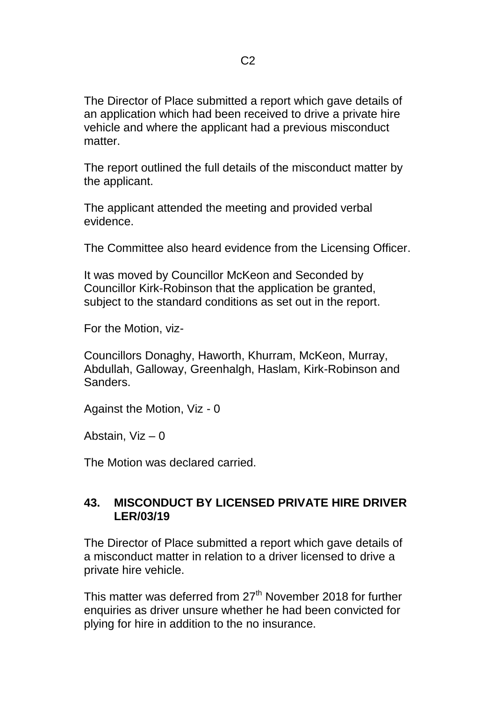The Director of Place submitted a report which gave details of an application which had been received to drive a private hire vehicle and where the applicant had a previous misconduct matter

The report outlined the full details of the misconduct matter by the applicant.

The applicant attended the meeting and provided verbal evidence.

The Committee also heard evidence from the Licensing Officer.

It was moved by Councillor McKeon and Seconded by Councillor Kirk-Robinson that the application be granted, subject to the standard conditions as set out in the report.

For the Motion, viz-

Councillors Donaghy, Haworth, Khurram, McKeon, Murray, Abdullah, Galloway, Greenhalgh, Haslam, Kirk-Robinson and Sanders.

Against the Motion, Viz - 0

Abstain, Viz – 0

The Motion was declared carried.

## **43. MISCONDUCT BY LICENSED PRIVATE HIRE DRIVER LER/03/19**

The Director of Place submitted a report which gave details of a misconduct matter in relation to a driver licensed to drive a private hire vehicle.

This matter was deferred from 27<sup>th</sup> November 2018 for further enquiries as driver unsure whether he had been convicted for plying for hire in addition to the no insurance.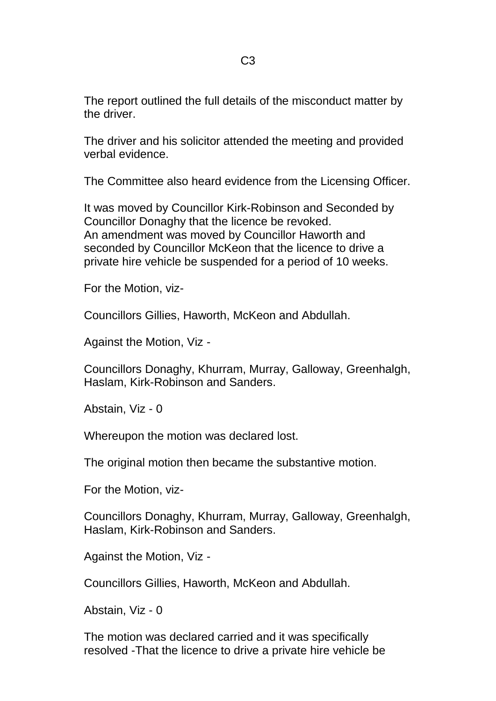The report outlined the full details of the misconduct matter by the driver.

The driver and his solicitor attended the meeting and provided verbal evidence.

The Committee also heard evidence from the Licensing Officer.

It was moved by Councillor Kirk-Robinson and Seconded by Councillor Donaghy that the licence be revoked. An amendment was moved by Councillor Haworth and seconded by Councillor McKeon that the licence to drive a private hire vehicle be suspended for a period of 10 weeks.

For the Motion, viz-

Councillors Gillies, Haworth, McKeon and Abdullah.

Against the Motion, Viz -

Councillors Donaghy, Khurram, Murray, Galloway, Greenhalgh, Haslam, Kirk-Robinson and Sanders.

Abstain, Viz - 0

Whereupon the motion was declared lost.

The original motion then became the substantive motion.

For the Motion, viz-

Councillors Donaghy, Khurram, Murray, Galloway, Greenhalgh, Haslam, Kirk-Robinson and Sanders.

Against the Motion, Viz -

Councillors Gillies, Haworth, McKeon and Abdullah.

Abstain, Viz - 0

The motion was declared carried and it was specifically resolved -That the licence to drive a private hire vehicle be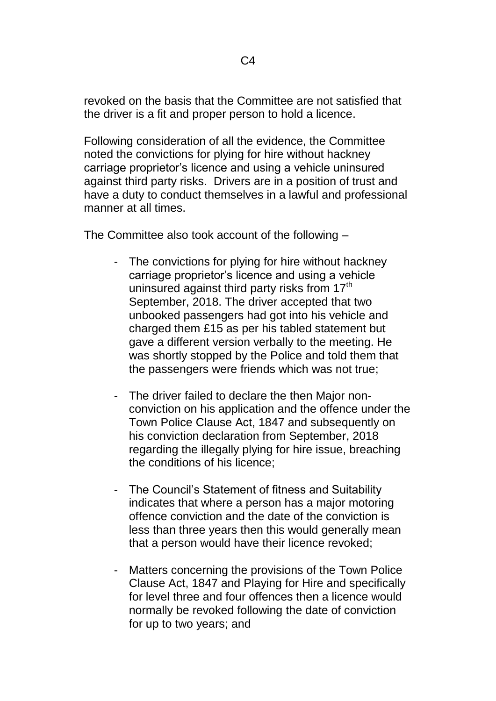revoked on the basis that the Committee are not satisfied that the driver is a fit and proper person to hold a licence.

Following consideration of all the evidence, the Committee noted the convictions for plying for hire without hackney carriage proprietor's licence and using a vehicle uninsured against third party risks. Drivers are in a position of trust and have a duty to conduct themselves in a lawful and professional manner at all times.

The Committee also took account of the following –

- The convictions for plying for hire without hackney carriage proprietor's licence and using a vehicle uninsured against third party risks from 17<sup>th</sup> September, 2018. The driver accepted that two unbooked passengers had got into his vehicle and charged them £15 as per his tabled statement but gave a different version verbally to the meeting. He was shortly stopped by the Police and told them that the passengers were friends which was not true;
- The driver failed to declare the then Major nonconviction on his application and the offence under the Town Police Clause Act, 1847 and subsequently on his conviction declaration from September, 2018 regarding the illegally plying for hire issue, breaching the conditions of his licence;
- The Council's Statement of fitness and Suitability indicates that where a person has a major motoring offence conviction and the date of the conviction is less than three years then this would generally mean that a person would have their licence revoked;
- Matters concerning the provisions of the Town Police Clause Act, 1847 and Playing for Hire and specifically for level three and four offences then a licence would normally be revoked following the date of conviction for up to two years; and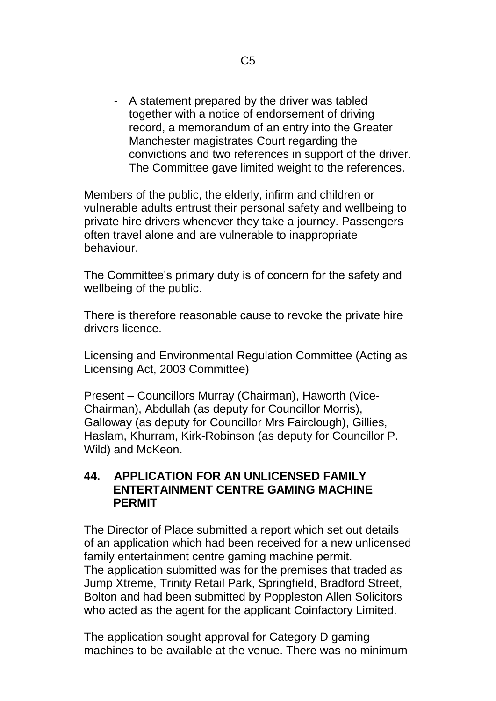- A statement prepared by the driver was tabled together with a notice of endorsement of driving record, a memorandum of an entry into the Greater Manchester magistrates Court regarding the convictions and two references in support of the driver. The Committee gave limited weight to the references.

Members of the public, the elderly, infirm and children or vulnerable adults entrust their personal safety and wellbeing to private hire drivers whenever they take a journey. Passengers often travel alone and are vulnerable to inappropriate behaviour.

The Committee's primary duty is of concern for the safety and wellbeing of the public.

There is therefore reasonable cause to revoke the private hire drivers licence.

Licensing and Environmental Regulation Committee (Acting as Licensing Act, 2003 Committee)

Present – Councillors Murray (Chairman), Haworth (Vice-Chairman), Abdullah (as deputy for Councillor Morris), Galloway (as deputy for Councillor Mrs Fairclough), Gillies, Haslam, Khurram, Kirk-Robinson (as deputy for Councillor P. Wild) and McKeon.

#### **44. APPLICATION FOR AN UNLICENSED FAMILY ENTERTAINMENT CENTRE GAMING MACHINE PERMIT**

The Director of Place submitted a report which set out details of an application which had been received for a new unlicensed family entertainment centre gaming machine permit. The application submitted was for the premises that traded as Jump Xtreme, Trinity Retail Park, Springfield, Bradford Street, Bolton and had been submitted by Poppleston Allen Solicitors who acted as the agent for the applicant Coinfactory Limited.

The application sought approval for Category D gaming machines to be available at the venue. There was no minimum